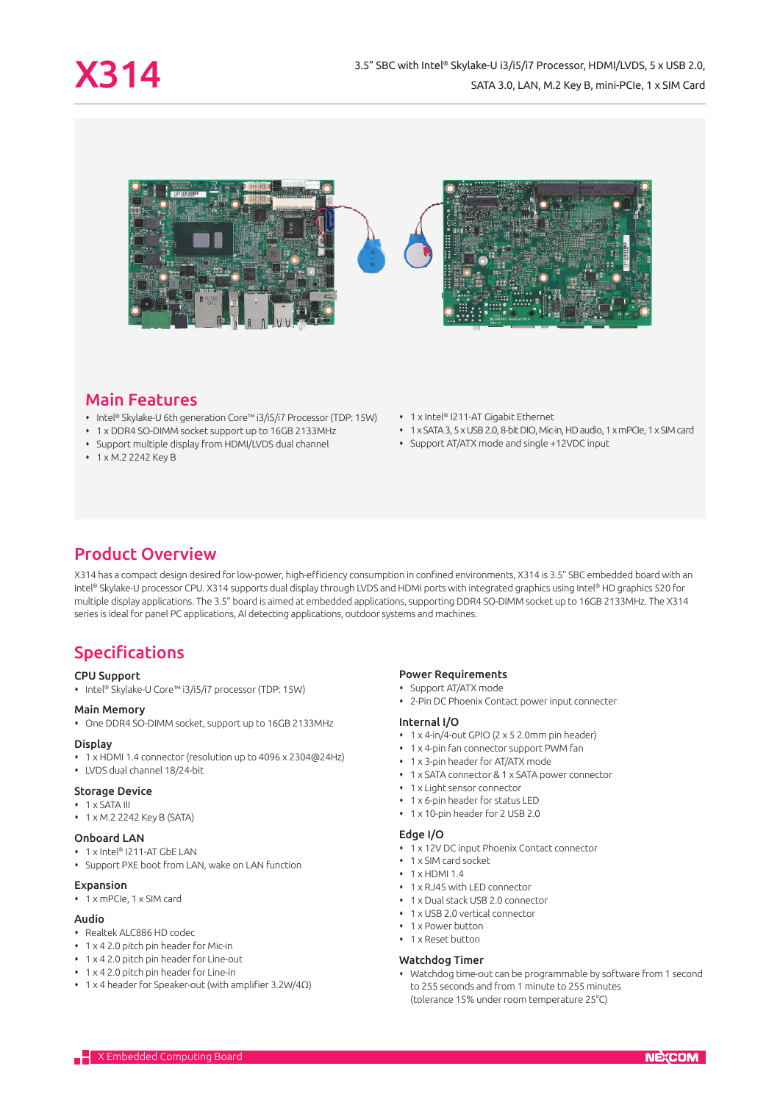

# Main Features

- Intel® Skylake-U 6th generation Core™ i3/i5/i7 Processor (TDP: 15W)
- 1 x DDR4 SO-DIMM socket support up to 16GB 2133MHz
- Support multiple display from HDMI/LVDS dual channel
- 1 x M.2 2242 Key B
- 1 x Intel® I211-AT Gigabit Ethernet
- 1 x SATA 3, 5 x USB 2.0, 8-bit DIO, Mic-in, HD audio, 1 x mPCIe, 1 x SIM card
- Support AT/ATX mode and single +12VDC input

# Product Overview

X314 has a compact design desired for low-power, high-efficiency consumption in confined environments, X314 is 3.5" SBC embedded board with an Intel® Skylake-U processor CPU. X314 supports dual display through LVDS and HDMI ports with integrated graphics using Intel® HD graphics 520 for multiple display applications. The 3.5" board is aimed at embedded applications, supporting DDR4 SO-DIMM socket up to 16GB 2133MHz. The X314 series is ideal for panel PC applications, AI detecting applications, outdoor systems and machines.

# Specifications

#### CPU Support

Intel® Skylake-U Core™ i3/i5/i7 processor (TDP: 15W)

### Main Memory

One DDR4 SO-DIMM socket, support up to 16GB 2133MHz

#### **Display**

- 1 x HDMI 1.4 connector (resolution up to 4096 x 2304@24Hz)
- LVDS dual channel 18/24-bit

#### Storage Device

- 1 x SATA III
- 1 x M.2 2242 Key B (SATA)

### Onboard LAN

- 1 x Intel® I211-AT GbE LAN
- Support PXE boot from LAN, wake on LAN function

## Expansion

1 x mPCIe, 1 x SIM card

#### Audio

- Realtek ALC886 HD codec
- 1 x 4 2.0 pitch pin header for Mic-in
- 1 x 4 2.0 pitch pin header for Line-out
- 1 x 4 2.0 pitch pin header for Line-in
- 1 x 4 header for Speaker-out (with amplifier 3.2W/4Ω)

#### Power Requirements

- Support AT/ATX mode
- 2-Pin DC Phoenix Contact power input connecter

#### Internal I/O

- 1 x 4-in/4-out GPIO (2 x 5 2.0mm pin header)
- 1 x 4-pin fan connector support PWM fan
- 1 x 3-pin header for AT/ATX mode
- 1 x SATA connector & 1 x SATA power connector
- 1 x Light sensor connector
- 1 x 6-pin header for status LED
- 1 x 10-pin header for 2 USB 2.0

#### Edge I/O

- 1 x 12V DC input Phoenix Contact connector
- 1 x SIM card socket
- $\cdot$  1 x HDMI 1.4
- 1 x RJ45 with LED connector
- 1 x Dual stack USB 2.0 connector
- 1 x USB 2.0 vertical connector
- 1 x Power button
- 1 x Reset button

#### Watchdog Timer

 Watchdog time-out can be programmable by software from 1 second to 255 seconds and from 1 minute to 255 minutes (tolerance 15% under room temperature 25°C)